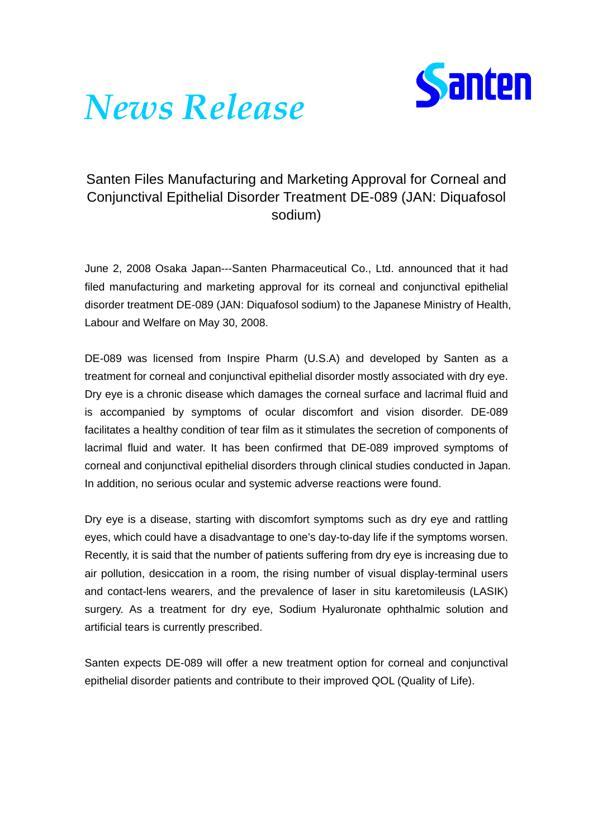

## *News Release*

## Santen Files Manufacturing and Marketing Approval for Corneal and Conjunctival Epithelial Disorder Treatment DE-089 (JAN: Diquafosol sodium)

June 2, 2008 Osaka Japan---Santen Pharmaceutical Co., Ltd. announced that it had filed manufacturing and marketing approval for its corneal and conjunctival epithelial disorder treatment DE-089 (JAN: Diquafosol sodium) to the Japanese Ministry of Health, Labour and Welfare on May 30, 2008.

DE-089 was licensed from Inspire Pharm (U.S.A) and developed by Santen as a treatment for corneal and conjunctival epithelial disorder mostly associated with dry eye. Dry eye is a chronic disease which damages the corneal surface and lacrimal fluid and is accompanied by symptoms of ocular discomfort and vision disorder. DE-089 facilitates a healthy condition of tear film as it stimulates the secretion of components of lacrimal fluid and water. It has been confirmed that DE-089 improved symptoms of corneal and conjunctival epithelial disorders through clinical studies conducted in Japan. In addition, no serious ocular and systemic adverse reactions were found.

Dry eye is a disease, starting with discomfort symptoms such as dry eye and rattling eyes, which could have a disadvantage to one's day-to-day life if the symptoms worsen. Recently, it is said that the number of patients suffering from dry eye is increasing due to air pollution, desiccation in a room, the rising number of visual display-terminal users and contact-lens wearers, and the prevalence of laser in situ karetomileusis (LASIK) surgery. As a treatment for dry eye, Sodium Hyaluronate ophthalmic solution and artificial tears is currently prescribed.

Santen expects DE-089 will offer a new treatment option for corneal and conjunctival epithelial disorder patients and contribute to their improved QOL (Quality of Life).